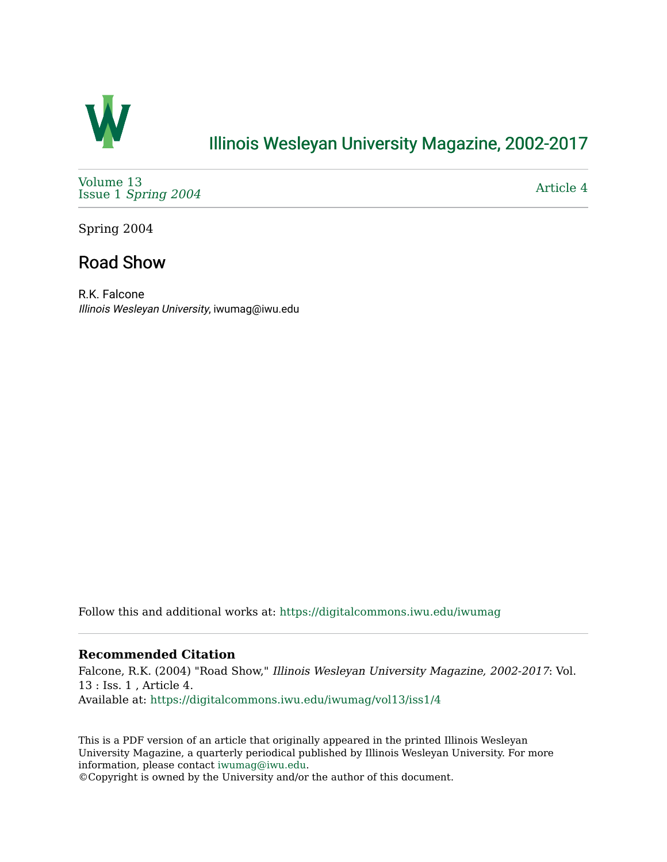

# [Illinois Wesleyan University Magazine, 2002-2017](https://digitalcommons.iwu.edu/iwumag)

[Volume 13](https://digitalcommons.iwu.edu/iwumag/vol13)  Issue 1 [Spring 2004](https://digitalcommons.iwu.edu/iwumag/vol13/iss1)

[Article 4](https://digitalcommons.iwu.edu/iwumag/vol13/iss1/4) 

Spring 2004

# Road Show

R.K. Falcone Illinois Wesleyan University, iwumag@iwu.edu

Follow this and additional works at: [https://digitalcommons.iwu.edu/iwumag](https://digitalcommons.iwu.edu/iwumag?utm_source=digitalcommons.iwu.edu%2Fiwumag%2Fvol13%2Fiss1%2F4&utm_medium=PDF&utm_campaign=PDFCoverPages) 

### **Recommended Citation**

Falcone, R.K. (2004) "Road Show," Illinois Wesleyan University Magazine, 2002-2017: Vol. 13 : Iss. 1 , Article 4. Available at: [https://digitalcommons.iwu.edu/iwumag/vol13/iss1/4](https://digitalcommons.iwu.edu/iwumag/vol13/iss1/4?utm_source=digitalcommons.iwu.edu%2Fiwumag%2Fvol13%2Fiss1%2F4&utm_medium=PDF&utm_campaign=PDFCoverPages)

This is a PDF version of an article that originally appeared in the printed Illinois Wesleyan University Magazine, a quarterly periodical published by Illinois Wesleyan University. For more information, please contact [iwumag@iwu.edu](mailto:iwumag@iwu.edu).

©Copyright is owned by the University and/or the author of this document.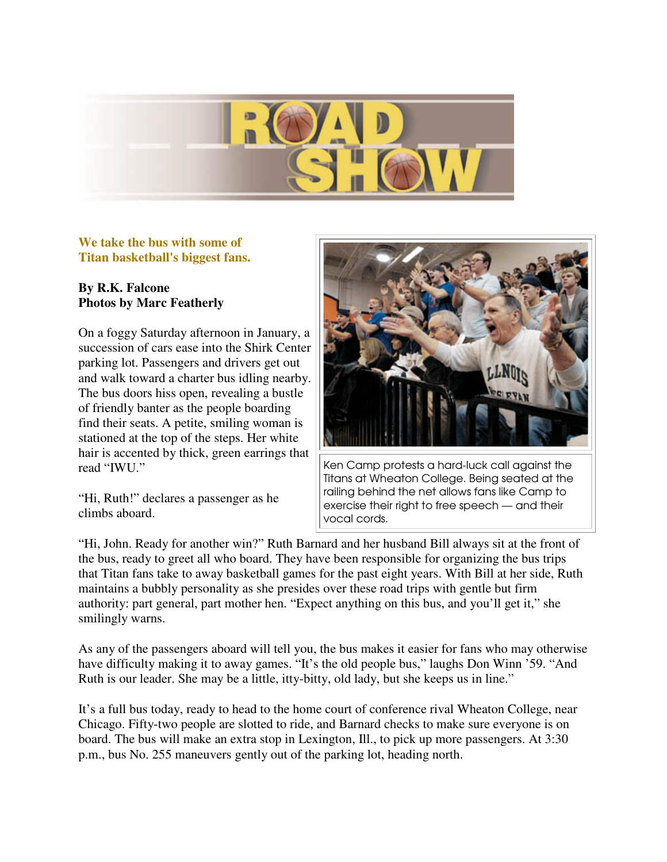

### **We take the bus with some of Titan basketball's biggest fans.**

## **By R.K. Falcone Photos by Marc Featherly**

On a foggy Saturday afternoon in January, a succession of cars ease into the Shirk Center parking lot. Passengers and drivers get out and walk toward a charter bus idling nearby. The bus doors hiss open, revealing a bustle of friendly banter as the people boarding find their seats. A petite, smiling woman is stationed at the top of the steps. Her white hair is accented by thick, green earrings that read "IWU."

"Hi, Ruth!" declares a passenger as he climbs aboard.



Ken Camp protests a hard-luck call against the Titans at Wheaton College. Being seated at the railing behind the net allows fans like Camp to exercise their right to free speech — and their vocal cords.

"Hi, John. Ready for another win?" Ruth Barnard and her husband Bill always sit at the front of the bus, ready to greet all who board. They have been responsible for organizing the bus trips that Titan fans take to away basketball games for the past eight years. With Bill at her side, Ruth maintains a bubbly personality as she presides over these road trips with gentle but firm authority: part general, part mother hen. "Expect anything on this bus, and you'll get it," she smilingly warns.

As any of the passengers aboard will tell you, the bus makes it easier for fans who may otherwise have difficulty making it to away games. "It's the old people bus," laughs Don Winn '59. "And Ruth is our leader. She may be a little, itty-bitty, old lady, but she keeps us in line."

It's a full bus today, ready to head to the home court of conference rival Wheaton College, near Chicago. Fifty-two people are slotted to ride, and Barnard checks to make sure everyone is on board. The bus will make an extra stop in Lexington, Ill., to pick up more passengers. At 3:30 p.m., bus No. 255 maneuvers gently out of the parking lot, heading north.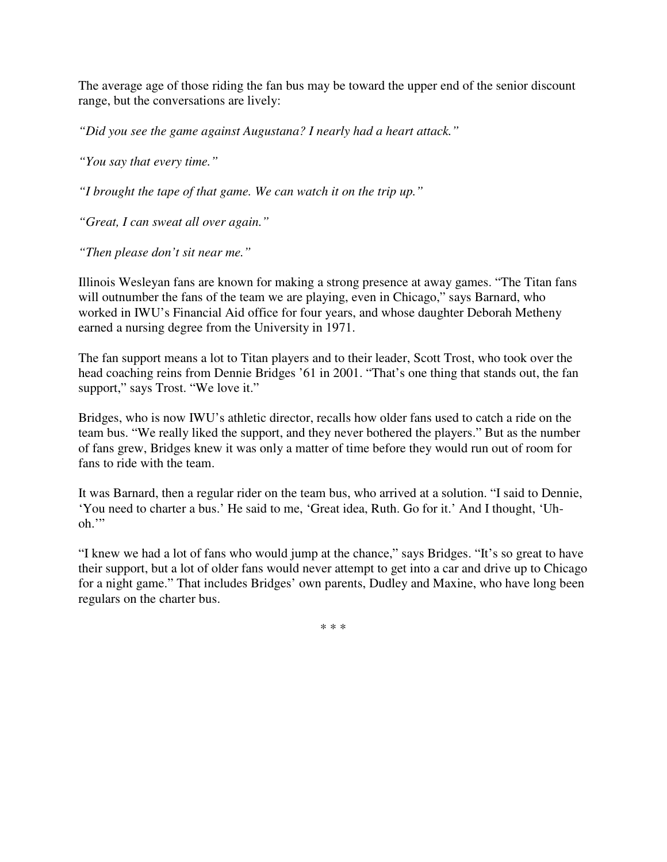The average age of those riding the fan bus may be toward the upper end of the senior discount range, but the conversations are lively:

*"Did you see the game against Augustana? I nearly had a heart attack."*

*"You say that every time."*

*"I brought the tape of that game. We can watch it on the trip up."*

*"Great, I can sweat all over again."*

*"Then please don't sit near me."*

Illinois Wesleyan fans are known for making a strong presence at away games. "The Titan fans will outnumber the fans of the team we are playing, even in Chicago," says Barnard, who worked in IWU's Financial Aid office for four years, and whose daughter Deborah Metheny earned a nursing degree from the University in 1971.

The fan support means a lot to Titan players and to their leader, Scott Trost, who took over the head coaching reins from Dennie Bridges '61 in 2001. "That's one thing that stands out, the fan support," says Trost. "We love it."

Bridges, who is now IWU's athletic director, recalls how older fans used to catch a ride on the team bus. "We really liked the support, and they never bothered the players." But as the number of fans grew, Bridges knew it was only a matter of time before they would run out of room for fans to ride with the team.

It was Barnard, then a regular rider on the team bus, who arrived at a solution. "I said to Dennie, 'You need to charter a bus.' He said to me, 'Great idea, Ruth. Go for it.' And I thought, 'Uhoh."

"I knew we had a lot of fans who would jump at the chance," says Bridges. "It's so great to have their support, but a lot of older fans would never attempt to get into a car and drive up to Chicago for a night game." That includes Bridges' own parents, Dudley and Maxine, who have long been regulars on the charter bus.

\* \* \*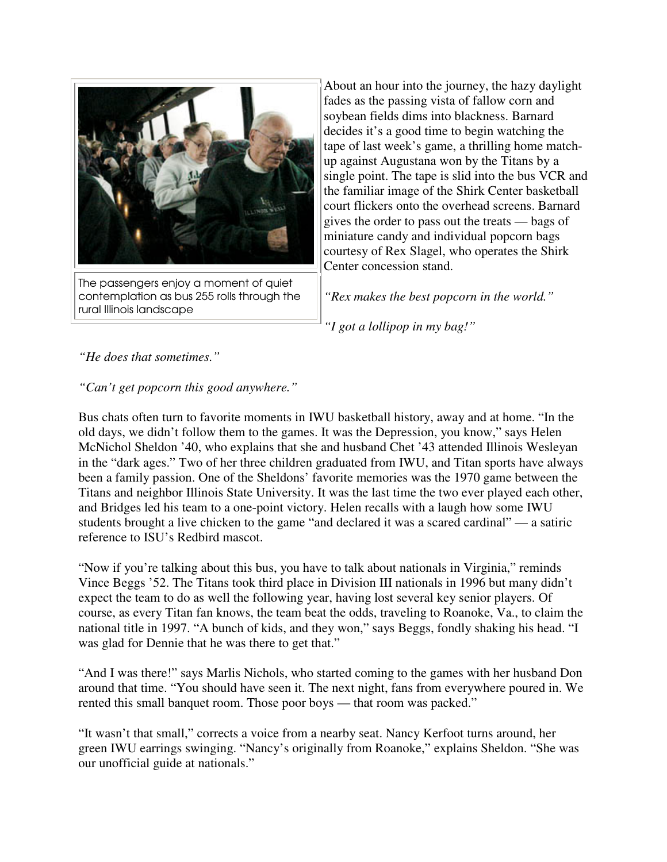

The passengers enjoy a moment of quiet contemplation as bus 255 rolls through the rural Illinois landscape

About an hour into the journey, the hazy daylight fades as the passing vista of fallow corn and soybean fields dims into blackness. Barnard decides it's a good time to begin watching the tape of last week's game, a thrilling home matchup against Augustana won by the Titans by a single point. The tape is slid into the bus VCR and the familiar image of the Shirk Center basketball court flickers onto the overhead screens. Barnard gives the order to pass out the treats — bags of miniature candy and individual popcorn bags courtesy of Rex Slagel, who operates the Shirk Center concession stand.

*"Rex makes the best popcorn in the world."*

*"I got a lollipop in my bag!"*

*"He does that sometimes."*

### *"Can't get popcorn this good anywhere."*

Bus chats often turn to favorite moments in IWU basketball history, away and at home. "In the old days, we didn't follow them to the games. It was the Depression, you know," says Helen McNichol Sheldon '40, who explains that she and husband Chet '43 attended Illinois Wesleyan in the "dark ages." Two of her three children graduated from IWU, and Titan sports have always been a family passion. One of the Sheldons' favorite memories was the 1970 game between the Titans and neighbor Illinois State University. It was the last time the two ever played each other, and Bridges led his team to a one-point victory. Helen recalls with a laugh how some IWU students brought a live chicken to the game "and declared it was a scared cardinal" — a satiric reference to ISU's Redbird mascot.

"Now if you're talking about this bus, you have to talk about nationals in Virginia," reminds Vince Beggs '52. The Titans took third place in Division III nationals in 1996 but many didn't expect the team to do as well the following year, having lost several key senior players. Of course, as every Titan fan knows, the team beat the odds, traveling to Roanoke, Va., to claim the national title in 1997. "A bunch of kids, and they won," says Beggs, fondly shaking his head. "I was glad for Dennie that he was there to get that."

"And I was there!" says Marlis Nichols, who started coming to the games with her husband Don around that time. "You should have seen it. The next night, fans from everywhere poured in. We rented this small banquet room. Those poor boys — that room was packed."

"It wasn't that small," corrects a voice from a nearby seat. Nancy Kerfoot turns around, her green IWU earrings swinging. "Nancy's originally from Roanoke," explains Sheldon. "She was our unofficial guide at nationals."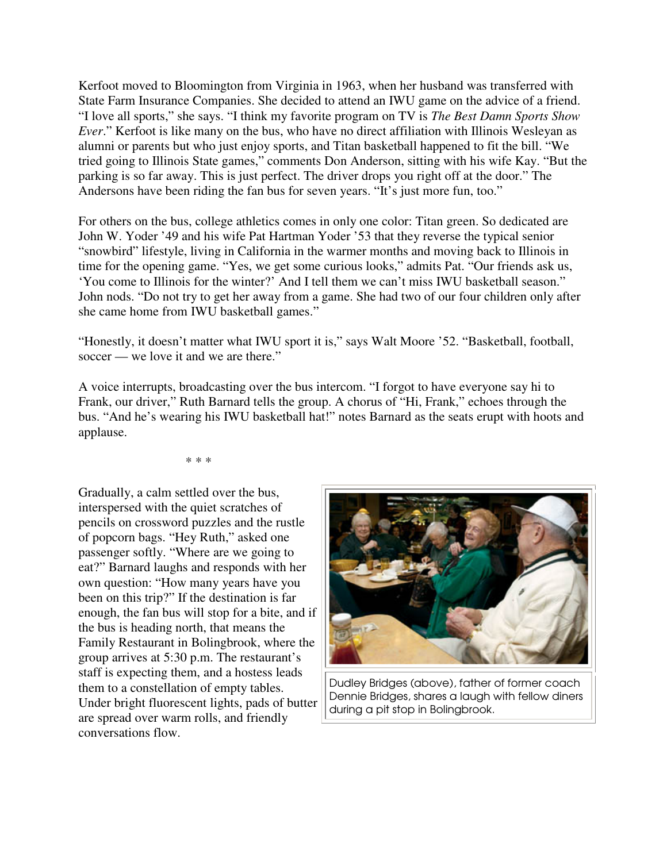Kerfoot moved to Bloomington from Virginia in 1963, when her husband was transferred with State Farm Insurance Companies. She decided to attend an IWU game on the advice of a friend. "I love all sports," she says. "I think my favorite program on TV is *The Best Damn Sports Show Ever*." Kerfoot is like many on the bus, who have no direct affiliation with Illinois Wesleyan as alumni or parents but who just enjoy sports, and Titan basketball happened to fit the bill. "We tried going to Illinois State games," comments Don Anderson, sitting with his wife Kay. "But the parking is so far away. This is just perfect. The driver drops you right off at the door." The Andersons have been riding the fan bus for seven years. "It's just more fun, too."

For others on the bus, college athletics comes in only one color: Titan green. So dedicated are John W. Yoder '49 and his wife Pat Hartman Yoder '53 that they reverse the typical senior "snowbird" lifestyle, living in California in the warmer months and moving back to Illinois in time for the opening game. "Yes, we get some curious looks," admits Pat. "Our friends ask us, 'You come to Illinois for the winter?' And I tell them we can't miss IWU basketball season." John nods. "Do not try to get her away from a game. She had two of our four children only after she came home from IWU basketball games."

"Honestly, it doesn't matter what IWU sport it is," says Walt Moore '52. "Basketball, football, soccer — we love it and we are there."

A voice interrupts, broadcasting over the bus intercom. "I forgot to have everyone say hi to Frank, our driver," Ruth Barnard tells the group. A chorus of "Hi, Frank," echoes through the bus. "And he's wearing his IWU basketball hat!" notes Barnard as the seats erupt with hoots and applause.

\* \* \*

Gradually, a calm settled over the bus, interspersed with the quiet scratches of pencils on crossword puzzles and the rustle of popcorn bags. "Hey Ruth," asked one passenger softly. "Where are we going to eat?" Barnard laughs and responds with her own question: "How many years have you been on this trip?" If the destination is far enough, the fan bus will stop for a bite, and if the bus is heading north, that means the Family Restaurant in Bolingbrook, where the group arrives at 5:30 p.m. The restaurant's staff is expecting them, and a hostess leads them to a constellation of empty tables. Under bright fluorescent lights, pads of butter are spread over warm rolls, and friendly conversations flow.



Dudley Bridges (above), father of former coach Dennie Bridges, shares a laugh with fellow diners during a pit stop in Bolingbrook.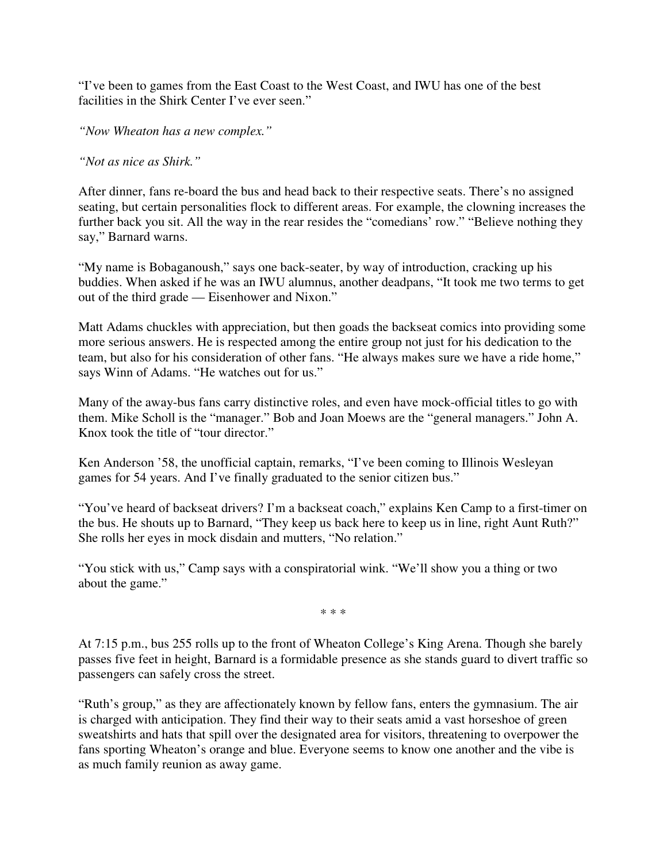"I've been to games from the East Coast to the West Coast, and IWU has one of the best facilities in the Shirk Center I've ever seen."

*"Now Wheaton has a new complex."*

*"Not as nice as Shirk."*

After dinner, fans re-board the bus and head back to their respective seats. There's no assigned seating, but certain personalities flock to different areas. For example, the clowning increases the further back you sit. All the way in the rear resides the "comedians' row." "Believe nothing they say," Barnard warns.

"My name is Bobaganoush," says one back-seater, by way of introduction, cracking up his buddies. When asked if he was an IWU alumnus, another deadpans, "It took me two terms to get out of the third grade — Eisenhower and Nixon."

Matt Adams chuckles with appreciation, but then goads the backseat comics into providing some more serious answers. He is respected among the entire group not just for his dedication to the team, but also for his consideration of other fans. "He always makes sure we have a ride home," says Winn of Adams. "He watches out for us."

Many of the away-bus fans carry distinctive roles, and even have mock-official titles to go with them. Mike Scholl is the "manager." Bob and Joan Moews are the "general managers." John A. Knox took the title of "tour director."

Ken Anderson '58, the unofficial captain, remarks, "I've been coming to Illinois Wesleyan games for 54 years. And I've finally graduated to the senior citizen bus."

"You've heard of backseat drivers? I'm a backseat coach," explains Ken Camp to a first-timer on the bus. He shouts up to Barnard, "They keep us back here to keep us in line, right Aunt Ruth?" She rolls her eyes in mock disdain and mutters, "No relation."

"You stick with us," Camp says with a conspiratorial wink. "We'll show you a thing or two about the game."

\* \* \*

At 7:15 p.m., bus 255 rolls up to the front of Wheaton College's King Arena. Though she barely passes five feet in height, Barnard is a formidable presence as she stands guard to divert traffic so passengers can safely cross the street.

"Ruth's group," as they are affectionately known by fellow fans, enters the gymnasium. The air is charged with anticipation. They find their way to their seats amid a vast horseshoe of green sweatshirts and hats that spill over the designated area for visitors, threatening to overpower the fans sporting Wheaton's orange and blue. Everyone seems to know one another and the vibe is as much family reunion as away game.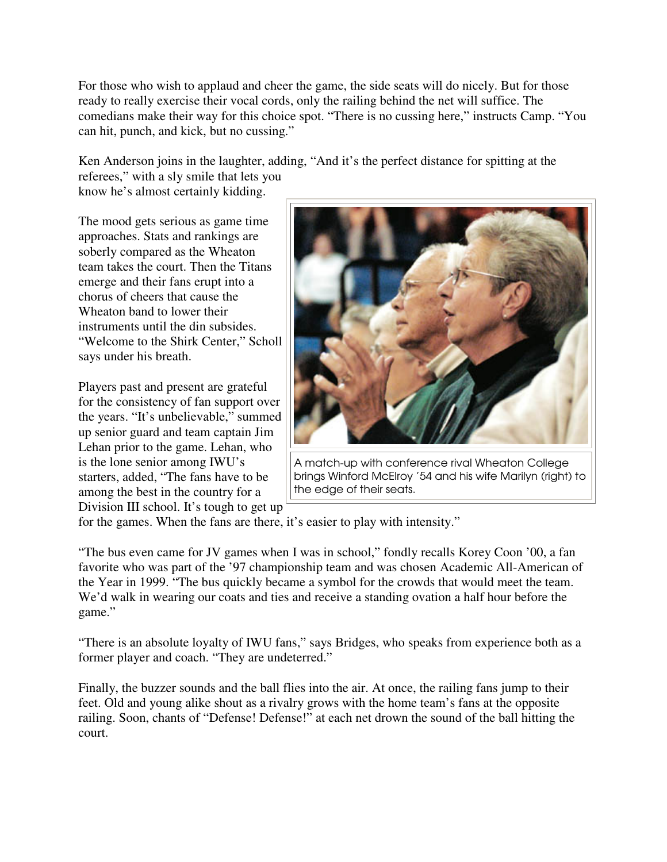For those who wish to applaud and cheer the game, the side seats will do nicely. But for those ready to really exercise their vocal cords, only the railing behind the net will suffice. The comedians make their way for this choice spot. "There is no cussing here," instructs Camp. "You can hit, punch, and kick, but no cussing."

Ken Anderson joins in the laughter, adding, "And it's the perfect distance for spitting at the referees," with a sly smile that lets you

know he's almost certainly kidding.

The mood gets serious as game time approaches. Stats and rankings are soberly compared as the Wheaton team takes the court. Then the Titans emerge and their fans erupt into a chorus of cheers that cause the Wheaton band to lower their instruments until the din subsides. "Welcome to the Shirk Center," Scholl says under his breath.

Players past and present are grateful for the consistency of fan support over the years. "It's unbelievable," summed up senior guard and team captain Jim Lehan prior to the game. Lehan, who is the lone senior among IWU's starters, added, "The fans have to be among the best in the country for a Division III school. It's tough to get up



A match-up with conference rival Wheaton College brings Winford McElroy '54 and his wife Marilyn (right) to the edge of their seats.

for the games. When the fans are there, it's easier to play with intensity."

"The bus even came for JV games when I was in school," fondly recalls Korey Coon '00, a fan favorite who was part of the '97 championship team and was chosen Academic All-American of the Year in 1999. "The bus quickly became a symbol for the crowds that would meet the team. We'd walk in wearing our coats and ties and receive a standing ovation a half hour before the game."

"There is an absolute loyalty of IWU fans," says Bridges, who speaks from experience both as a former player and coach. "They are undeterred."

Finally, the buzzer sounds and the ball flies into the air. At once, the railing fans jump to their feet. Old and young alike shout as a rivalry grows with the home team's fans at the opposite railing. Soon, chants of "Defense! Defense!" at each net drown the sound of the ball hitting the court.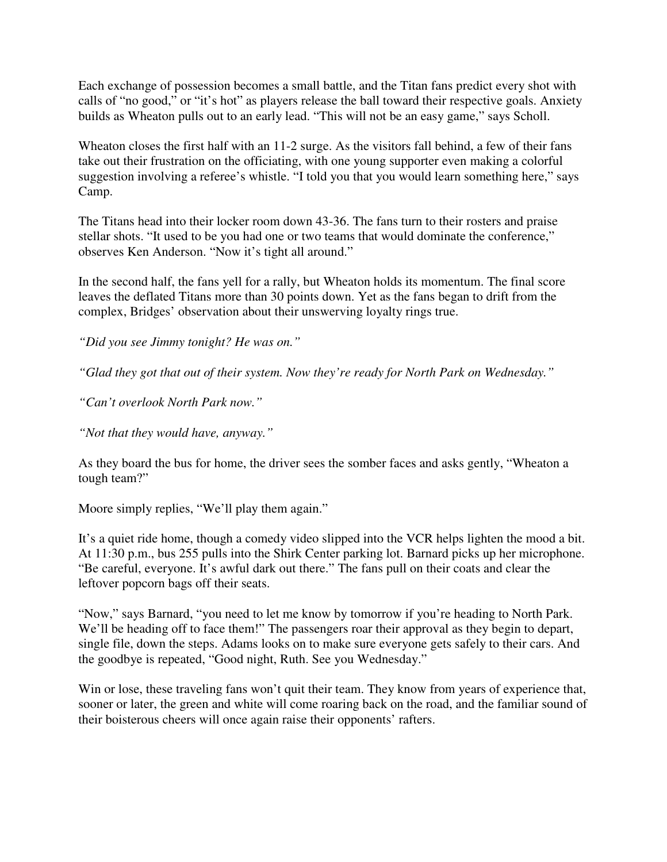Each exchange of possession becomes a small battle, and the Titan fans predict every shot with calls of "no good," or "it's hot" as players release the ball toward their respective goals. Anxiety builds as Wheaton pulls out to an early lead. "This will not be an easy game," says Scholl.

Wheaton closes the first half with an 11-2 surge. As the visitors fall behind, a few of their fans take out their frustration on the officiating, with one young supporter even making a colorful suggestion involving a referee's whistle. "I told you that you would learn something here," says Camp.

The Titans head into their locker room down 43-36. The fans turn to their rosters and praise stellar shots. "It used to be you had one or two teams that would dominate the conference," observes Ken Anderson. "Now it's tight all around."

In the second half, the fans yell for a rally, but Wheaton holds its momentum. The final score leaves the deflated Titans more than 30 points down. Yet as the fans began to drift from the complex, Bridges' observation about their unswerving loyalty rings true.

*"Did you see Jimmy tonight? He was on."*

*"Glad they got that out of their system. Now they're ready for North Park on Wednesday."*

*"Can't overlook North Park now."*

*"Not that they would have, anyway."*

As they board the bus for home, the driver sees the somber faces and asks gently, "Wheaton a tough team?"

Moore simply replies, "We'll play them again."

It's a quiet ride home, though a comedy video slipped into the VCR helps lighten the mood a bit. At 11:30 p.m., bus 255 pulls into the Shirk Center parking lot. Barnard picks up her microphone. "Be careful, everyone. It's awful dark out there." The fans pull on their coats and clear the leftover popcorn bags off their seats.

"Now," says Barnard, "you need to let me know by tomorrow if you're heading to North Park. We'll be heading off to face them!" The passengers roar their approval as they begin to depart, single file, down the steps. Adams looks on to make sure everyone gets safely to their cars. And the goodbye is repeated, "Good night, Ruth. See you Wednesday."

Win or lose, these traveling fans won't quit their team. They know from years of experience that, sooner or later, the green and white will come roaring back on the road, and the familiar sound of their boisterous cheers will once again raise their opponents' rafters.